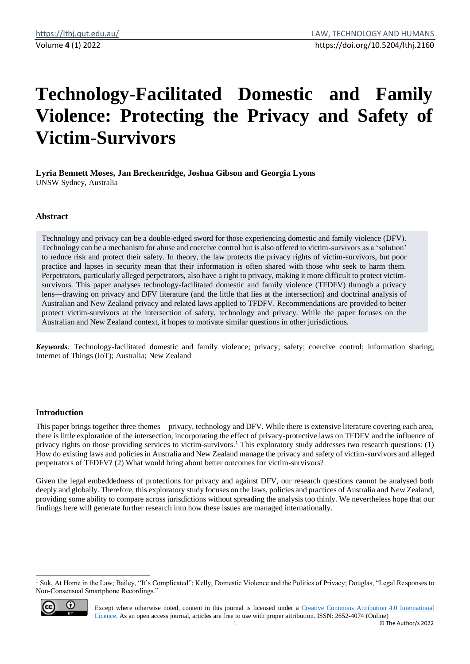# **Technology-Facilitated Domestic and Family Violence: Protecting the Privacy and Safety of Victim-Survivors**

**Lyria Bennett Moses, Jan Breckenridge, Joshua Gibson and Georgia Lyons** UNSW Sydney, Australia

# **Abstract**

Technology and privacy can be a double-edged sword for those experiencing domestic and family violence (DFV). Technology can be a mechanism for abuse and coercive control but is also offered to victim-survivors as a 'solution' to reduce risk and protect their safety. In theory, the law protects the privacy rights of victim-survivors, but poor practice and lapses in security mean that their information is often shared with those who seek to harm them. Perpetrators, particularly alleged perpetrators, also have a right to privacy, making it more difficult to protect victimsurvivors. This paper analyses technology-facilitated domestic and family violence (TFDFV) through a privacy lens—drawing on privacy and DFV literature (and the little that lies at the intersection) and doctrinal analysis of Australian and New Zealand privacy and related laws applied to TFDFV. Recommendations are provided to better protect victim-survivors at the intersection of safety, technology and privacy. While the paper focuses on the Australian and New Zealand context, it hopes to motivate similar questions in other jurisdictions.

*Keywords:* Technology-facilitated domestic and family violence; privacy; safety; coercive control; information sharing; Internet of Things (IoT); Australia; New Zealand

# **Introduction**

This paper brings together three themes—privacy, technology and DFV. While there is extensive literature covering each area, there is little exploration of the intersection, incorporating the effect of privacy-protective laws on TFDFV and the influence of privacy rights on those providing services to victim-survivors.<sup>1</sup> This exploratory study addresses two research questions: (1) How do existing laws and policies in Australia and New Zealand manage the privacy and safety of victim-survivors and alleged perpetrators of TFDFV? (2) What would bring about better outcomes for victim-survivors?

Given the legal embeddedness of protections for privacy and against DFV, our research questions cannot be analysed both deeply and globally. Therefore, this exploratory study focuses on the laws, policies and practices of Australia and New Zealand, providing some ability to compare across jurisdictions without spreading the analysis too thinly. We nevertheless hope that our findings here will generate further research into how these issues are managed internationally.

<sup>&</sup>lt;sup>1</sup> Suk, At Home in the Law; Bailey, "It's Complicated"; Kelly, Domestic Violence and the Politics of Privacy; Douglas, "Legal Responses to Non-Consensual Smartphone Recordings."



Except where otherwise noted, content in this journal is licensed under a [Creative Commons Attribution 4.0 International](https://creativecommons.org/licenses/by/4.0/)  [Licence.](https://creativecommons.org/licenses/by/4.0/) As an open access journal, articles are free to use with proper attribution. ISSN: 2652-4074 (Online)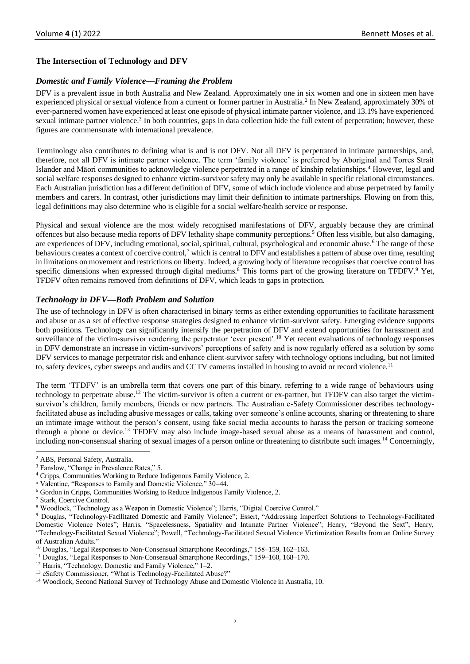# **The Intersection of Technology and DFV**

# *Domestic and Family Violence—Framing the Problem*

DFV is a prevalent issue in both Australia and New Zealand. Approximately one in six women and one in sixteen men have experienced physical or sexual violence from a current or former partner in Australia.<sup>2</sup> In New Zealand, approximately 30% of ever-partnered women have experienced at least one episode of physical intimate partner violence, and 13.1% have experienced sexual intimate partner violence.<sup>3</sup> In both countries, gaps in data collection hide the full extent of perpetration; however, these figures are commensurate with international prevalence.

Terminology also contributes to defining what is and is not DFV. Not all DFV is perpetrated in intimate partnerships, and, therefore, not all DFV is intimate partner violence. The term 'family violence' is preferred by Aboriginal and Torres Strait Islander and Māori communities to acknowledge violence perpetrated in a range of kinship relationships.<sup>4</sup> However, legal and social welfare responses designed to enhance victim-survivor safety may only be available in specific relational circumstances. Each Australian jurisdiction has a different definition of DFV, some of which include violence and abuse perpetrated by family members and carers. In contrast, other jurisdictions may limit their definition to intimate partnerships. Flowing on from this, legal definitions may also determine who is eligible for a social welfare/health service or response.

Physical and sexual violence are the most widely recognised manifestations of DFV, arguably because they are criminal offences but also because media reports of DFV lethality shape community perceptions.<sup>5</sup> Often less visible, but also damaging, are experiences of DFV, including emotional, social, spiritual, cultural, psychological and economic abuse.<sup>6</sup> The range of these behaviours creates a context of coercive control,<sup>7</sup> which is central to DFV and establishes a pattern of abuse over time, resulting in limitations on movement and restrictions on liberty. Indeed, a growing body of literature recognises that coercive control has specific dimensions when expressed through digital mediums.<sup>8</sup> This forms part of the growing literature on TFDFV.<sup>9</sup> Yet, TFDFV often remains removed from definitions of DFV, which leads to gaps in protection.

# *Technology in DFV—Both Problem and Solution*

The use of technology in DFV is often characterised in binary terms as either extending opportunities to facilitate harassment and abuse or as a set of effective response strategies designed to enhance victim-survivor safety. Emerging evidence supports both positions. Technology can significantly intensify the perpetration of DFV and extend opportunities for harassment and surveillance of the victim-survivor rendering the perpetrator 'ever present'.<sup>10</sup> Yet recent evaluations of technology responses in DFV demonstrate an increase in victim-survivors' perceptions of safety and is now regularly offered as a solution by some DFV services to manage perpetrator risk and enhance client-survivor safety with technology options including, but not limited to, safety devices, cyber sweeps and audits and CCTV cameras installed in housing to avoid or record violence.<sup>11</sup>

The term 'TFDFV' is an umbrella term that covers one part of this binary, referring to a wide range of behaviours using technology to perpetrate abuse.<sup>12</sup> The victim-survivor is often a current or ex-partner, but TFDFV can also target the victimsurvivor's children, family members, friends or new partners. The Australian e-Safety Commissioner describes technologyfacilitated abuse as including abusive messages or calls, taking over someone's online accounts, sharing or threatening to share an intimate image without the person's consent, using fake social media accounts to harass the person or tracking someone through a phone or device.<sup>13</sup> TFDFV may also include image-based sexual abuse as a means of harassment and control, including non-consensual sharing of sexual images of a person online or threatening to distribute such images.<sup>14</sup> Concerningly,

<sup>2</sup> ABS, Personal Safety, Australia.

<sup>3</sup> Fanslow, "Change in Prevalence Rates," 5.

<sup>4</sup> Cripps, Communities Working to Reduce Indigenous Family Violence, 2.

<sup>5</sup> Valentine, "Responses to Family and Domestic Violence," 30–44.

<sup>6</sup> Gordon in Cripps, Communities Working to Reduce Indigenous Family Violence, 2.

<sup>7</sup> Stark, Coercive Control.

<sup>8</sup> Woodlock, "Technology as a Weapon in Domestic Violence"; Harris, "Digital Coercive Control."

<sup>&</sup>lt;sup>9</sup> Douglas, "Technology-Facilitated Domestic and Family Violence"; Essert, "Addressing Imperfect Solutions to Technology-Facilitated Domestic Violence Notes"; Harris, "Spacelessness, Spatiality and Intimate Partner Violence"; Henry, "Beyond the Sext"; Henry, "Technology-Facilitated Sexual Violence"; Powell, "Technology-Facilitated Sexual Violence Victimization Results from an Online Survey of Australian Adults."

<sup>10</sup> Douglas, "Legal Responses to Non-Consensual Smartphone Recordings," 158–159, 162–163.

<sup>11</sup> Douglas, "Legal Responses to Non-Consensual Smartphone Recordings," 159–160, 168–170.

<sup>&</sup>lt;sup>12</sup> Harris, "Technology, Domestic and Family Violence," 1-2.

<sup>&</sup>lt;sup>13</sup> eSafety Commissioner, "What is Technology-Facilitated Abuse?"

<sup>14</sup> Woodlock, Second National Survey of Technology Abuse and Domestic Violence in Australia, 10.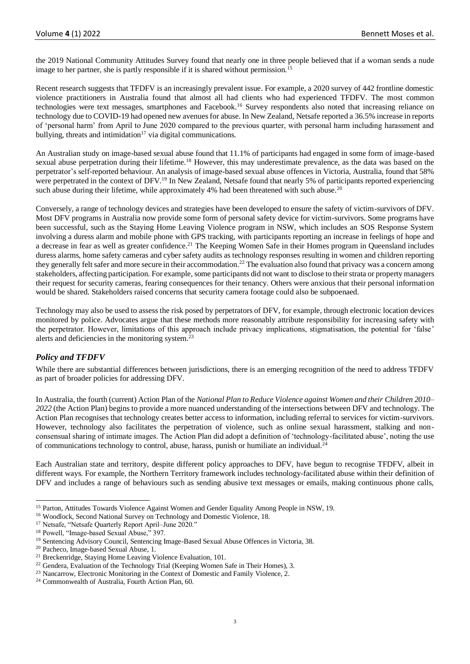the 2019 National Community Attitudes Survey found that nearly one in three people believed that if a woman sends a nude image to her partner, she is partly responsible if it is shared without permission.<sup>15</sup>

Recent research suggests that TFDFV is an increasingly prevalent issue. For example, a 2020 survey of 442 frontline domestic violence practitioners in Australia found that almost all had clients who had experienced TFDFV. The most common technologies were text messages, smartphones and Facebook.<sup>16</sup> Survey respondents also noted that increasing reliance on technology due to COVID-19 had opened new avenues for abuse. In New Zealand, Netsafe reported a 36.5% increase in reports of 'personal harm' from April to June 2020 compared to the previous quarter, with personal harm including harassment and bullying, threats and intimidation<sup>17</sup> via digital communications.

An Australian study on image-based sexual abuse found that 11.1% of participants had engaged in some form of image-based sexual abuse perpetration during their lifetime.<sup>18</sup> However, this may underestimate prevalence, as the data was based on the perpetrator's self-reported behaviour. An analysis of image-based sexual abuse offences in Victoria, Australia, found that 58% were perpetrated in the context of DFV.<sup>19</sup> In New Zealand, Netsafe found that nearly 5% of participants reported experiencing such abuse during their lifetime, while approximately 4% had been threatened with such abuse.<sup>20</sup>

Conversely, a range of technology devices and strategies have been developed to ensure the safety of victim-survivors of DFV. Most DFV programs in Australia now provide some form of personal safety device for victim-survivors. Some programs have been successful, such as the Staying Home Leaving Violence program in NSW, which includes an SOS Response System involving a duress alarm and mobile phone with GPS tracking, with participants reporting an increase in feelings of hope and a decrease in fear as well as greater confidence.<sup>21</sup> The Keeping Women Safe in their Homes program in Queensland includes duress alarms, home safety cameras and cyber safety audits as technology responses resulting in women and children reporting they generally felt safer and more secure in their accommodation.<sup>22</sup> The evaluation also found that privacy was a concern among stakeholders, affecting participation. For example, some participants did not want to disclose to their strata or property managers their request for security cameras, fearing consequences for their tenancy. Others were anxious that their personal information would be shared. Stakeholders raised concerns that security camera footage could also be subpoenaed.

Technology may also be used to assess the risk posed by perpetrators of DFV, for example, through electronic location devices monitored by police. Advocates argue that these methods more reasonably attribute responsibility for increasing safety with the perpetrator. However, limitations of this approach include privacy implications, stigmatisation, the potential for 'false' alerts and deficiencies in the monitoring system.<sup>23</sup>

# *Policy and TFDFV*

While there are substantial differences between jurisdictions, there is an emerging recognition of the need to address TFDFV as part of broader policies for addressing DFV.

In Australia, the fourth (current) Action Plan of the *National Plan to Reduce Violence against Women and their Children 2010– 2022* (the Action Plan) begins to provide a more nuanced understanding of the intersections between DFV and technology. The Action Plan recognises that technology creates better access to information, including referral to services for victim-survivors. However, technology also facilitates the perpetration of violence, such as online sexual harassment, stalking and nonconsensual sharing of intimate images. The Action Plan did adopt a definition of 'technology-facilitated abuse', noting the use of communications technology to control, abuse, harass, punish or humiliate an individual.<sup>24</sup>

Each Australian state and territory, despite different policy approaches to DFV, have begun to recognise TFDFV, albeit in different ways. For example, the Northern Territory framework includes technology-facilitated abuse within their definition of DFV and includes a range of behaviours such as sending abusive text messages or emails, making continuous phone calls,

<sup>&</sup>lt;sup>15</sup> Parton, Attitudes Towards Violence Against Women and Gender Equality Among People in NSW, 19.

<sup>16</sup> Woodlock, Second National Survey on Technology and Domestic Violence, 18.

<sup>&</sup>lt;sup>17</sup> Netsafe, "Netsafe Quarterly Report April–June 2020."

<sup>18</sup> Powell, "Image-based Sexual Abuse," 397.

<sup>&</sup>lt;sup>19</sup> Sentencing Advisory Council, Sentencing Image-Based Sexual Abuse Offences in Victoria, 38.

<sup>20</sup> Pacheco, Image-based Sexual Abuse, 1.

<sup>&</sup>lt;sup>21</sup> Breckenridge, Staying Home Leaving Violence Evaluation, 101.

<sup>&</sup>lt;sup>22</sup> Gendera, Evaluation of the Technology Trial (Keeping Women Safe in Their Homes), 3.

<sup>&</sup>lt;sup>23</sup> Nancarrow, Electronic Monitoring in the Context of Domestic and Family Violence, 2.

<sup>24</sup> Commonwealth of Australia, Fourth Action Plan, 60.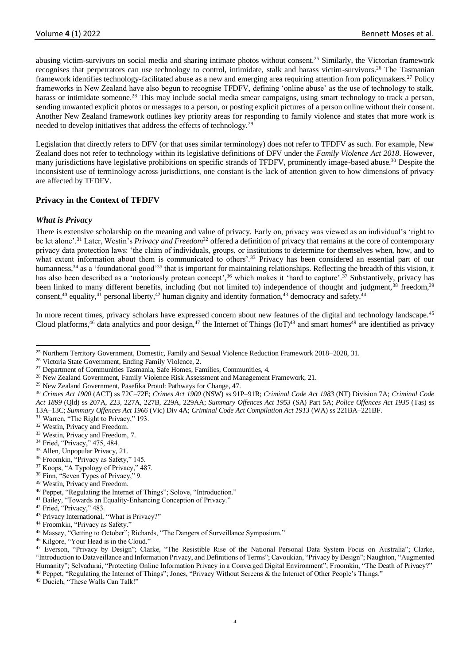abusing victim-survivors on social media and sharing intimate photos without consent.<sup>25</sup> Similarly, the Victorian framework recognises that perpetrators can use technology to control, intimidate, stalk and harass victim-survivors.<sup>26</sup> The Tasmanian framework identifies technology-facilitated abuse as a new and emerging area requiring attention from policymakers.<sup>27</sup> Policy frameworks in New Zealand have also begun to recognise TFDFV, defining 'online abuse' as the use of technology to stalk, harass or intimidate someone.<sup>28</sup> This may include social media smear campaigns, using smart technology to track a person, sending unwanted explicit photos or messages to a person, or posting explicit pictures of a person online without their consent. Another New Zealand framework outlines key priority areas for responding to family violence and states that more work is needed to develop initiatives that address the effects of technology.<sup>29</sup>

Legislation that directly refers to DFV (or that uses similar terminology) does not refer to TFDFV as such. For example, New Zealand does not refer to technology within its legislative definitions of DFV under the *Family Violence Act 2018*. However, many jurisdictions have legislative prohibitions on specific strands of TFDFV, prominently image-based abuse.<sup>30</sup> Despite the inconsistent use of terminology across jurisdictions, one constant is the lack of attention given to how dimensions of privacy are affected by TFDFV.

# **Privacy in the Context of TFDFV**

# *What is Privacy*

There is extensive scholarship on the meaning and value of privacy. Early on, privacy was viewed as an individual's 'right to be let alone'.<sup>31</sup> Later, Westin's *Privacy and Freedom*<sup>32</sup> offered a definition of privacy that remains at the core of contemporary privacy data protection laws: 'the claim of individuals, groups, or institutions to determine for themselves when, how, and to what extent information about them is communicated to others'.<sup>33</sup> Privacy has been considered an essential part of our humanness,<sup>34</sup> as a 'foundational good'<sup>35</sup> that is important for maintaining relationships. Reflecting the breadth of this vision, it has also been described as a 'notoriously protean concept',<sup>36</sup> which makes it 'hard to capture'.<sup>37</sup> Substantively, privacy has been linked to many different benefits, including (but not limited to) independence of thought and judgment,  $38$  freedom,  $39$ consent,<sup>40</sup> equality,<sup>41</sup> personal liberty,<sup>42</sup> human dignity and identity formation,<sup>43</sup> democracy and safety.<sup>44</sup>

In more recent times, privacy scholars have expressed concern about new features of the digital and technology landscape.<sup>45</sup> Cloud platforms,<sup>46</sup> data analytics and poor design,<sup>47</sup> the Internet of Things (IoT)<sup>48</sup> and smart homes<sup>49</sup> are identified as privacy

- <sup>33</sup> Westin, Privacy and Freedom, 7.
- <sup>34</sup> Fried, "Privacy," 475, 484.
- <sup>35</sup> Allen, Unpopular Privacy, 21.
- <sup>36</sup> Froomkin, "Privacy as Safety," 145.
- <sup>37</sup> Koops, "A Typology of Privacy," 487.
- <sup>38</sup> Finn, "Seven Types of Privacy," 9.
- <sup>39</sup> Westin, Privacy and Freedom.
- <sup>40</sup> Peppet, "Regulating the Internet of Things"; Solove, "Introduction."
- <sup>41</sup> Bailey, "Towards an Equality-Enhancing Conception of Privacy."
- <sup>42</sup> Fried, "Privacy," 483.
- <sup>43</sup> Privacy International, "What is Privacy?"
- <sup>44</sup> Froomkin, "Privacy as Safety."

<sup>46</sup> Kilgore, "Your Head is in the Cloud."

<sup>49</sup> Ducich, "These Walls Can Talk!"

<sup>&</sup>lt;sup>25</sup> Northern Territory Government, Domestic, Family and Sexual Violence Reduction Framework 2018–2028, 31.

<sup>26</sup> Victoria State Government, Ending Family Violence, 2.

<sup>27</sup> Department of Communities Tasmania, Safe Homes, Families, Communities, 4.

<sup>&</sup>lt;sup>28</sup> New Zealand Government, Family Violence Risk Assessment and Management Framework, 21.

<sup>29</sup> New Zealand Government, Pasefika Proud: Pathways for Change, 47.

<sup>30</sup> *Crimes Act 1900* (ACT) ss 72C–72E; *Crimes Act 1900* (NSW) ss 91P–91R; *Criminal Code Act 1983* (NT) Division 7A; *Criminal Code Act 1899* (Qld) ss 207A, 223, 227A, 227B, 229A, 229AA; *Summary Offences Act 1953* (SA) Part 5A; *Police Offences Act 1935* (Tas) ss 13A–13C; *Summary Offences Act 1966* (Vic) Div 4A; *Criminal Code Act Compilation Act 1913* (WA) ss 221BA–221BF.

<sup>&</sup>lt;sup>31</sup> Warren, "The Right to Privacy," 193.

<sup>32</sup> Westin, Privacy and Freedom.

<sup>&</sup>lt;sup>45</sup> Massey, "Getting to October"; Richards, "The Dangers of Surveillance Symposium."

<sup>&</sup>lt;sup>47</sup> Everson, "Privacy by Design"; Clarke, "The Resistible Rise of the National Personal Data System Focus on Australia"; Clarke, "Introduction to Dataveillance and Information Privacy, and Definitions of Terms"; Cavoukian, "Privacy by Design"; Naughton, "Augmented Humanity"; Selvadurai, "Protecting Online Information Privacy in a Converged Digital Environment"; Froomkin, "The Death of Privacy?"

<sup>48</sup> Peppet, "Regulating the Internet of Things"; Jones, "Privacy Without Screens & the Internet of Other People's Things."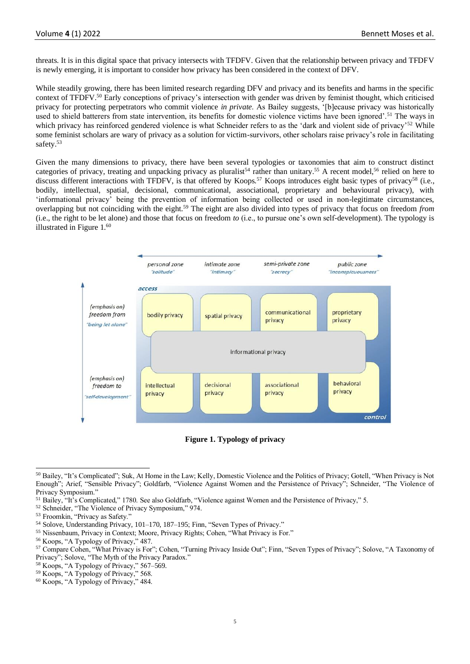threats. It is in this digital space that privacy intersects with TFDFV. Given that the relationship between privacy and TFDFV is newly emerging, it is important to consider how privacy has been considered in the context of DFV.

While steadily growing, there has been limited research regarding DFV and privacy and its benefits and harms in the specific context of TFDFV.<sup>50</sup> Early conceptions of privacy's intersection with gender was driven by feminist thought, which criticised privacy for protecting perpetrators who commit violence *in private*. As Bailey suggests, '[b]ecause privacy was historically used to shield batterers from state intervention, its benefits for domestic violence victims have been ignored'.<sup>51</sup> The ways in which privacy has reinforced gendered violence is what Schneider refers to as the 'dark and violent side of privacy'<sup>52</sup> While some feminist scholars are wary of privacy as a solution for victim-survivors, other scholars raise privacy's role in facilitating safety.<sup>53</sup>

Given the many dimensions to privacy, there have been several typologies or taxonomies that aim to construct distinct categories of privacy, treating and unpacking privacy as pluralist<sup>54</sup> rather than unitary.<sup>55</sup> A recent model,<sup>56</sup> relied on here to discuss different interactions with TFDFV, is that offered by Koops.<sup>57</sup> Koops introduces eight basic types of privacy<sup>58</sup> (i.e., bodily, intellectual, spatial, decisional, communicational, associational, proprietary and behavioural privacy), with 'informational privacy' being the prevention of information being collected or used in non-legitimate circumstances, overlapping but not coinciding with the eight.<sup>59</sup> The eight are also divided into types of privacy that focus on freedom *from* (i.e., the right to be let alone) and those that focus on freedom *to* (i.e., to pursue one's own self-development). The typology is illustrated in Figure 1.<sup>60</sup>



**Figure 1. Typology of privacy**

- <sup>52</sup> Schneider, "The Violence of Privacy Symposium," 974.
- <sup>53</sup> Froomkin, "Privacy as Safety."
- <sup>54</sup> Solove, Understanding Privacy, 101–170, 187–195; Finn, "Seven Types of Privacy."
- <sup>55</sup> Nissenbaum, Privacy in Context; Moore, Privacy Rights; Cohen, "What Privacy is For."

- <sup>58</sup> Koops, "A Typology of Privacy," 567–569.
- $59$  Koops, "A Typology of Privacy," 568.

<sup>50</sup> Bailey, "It's Complicated"; Suk, At Home in the Law; Kelly, Domestic Violence and the Politics of Privacy; Gotell, "When Privacy is Not Enough"; Arief, "Sensible Privacy"; Goldfarb, "Violence Against Women and the Persistence of Privacy"; Schneider, "The Violence of Privacy Symposium.'

<sup>51</sup> Bailey, "It's Complicated," 1780. See also Goldfarb, "Violence against Women and the Persistence of Privacy," 5.

<sup>56</sup> Koops, "A Typology of Privacy," 487.

<sup>57</sup> Compare Cohen, "What Privacy is For"; Cohen, "Turning Privacy Inside Out"; Finn, "Seven Types of Privacy"; Solove, "A Taxonomy of Privacy"; Solove, "The Myth of the Privacy Paradox."

<sup>60</sup> Koops, "A Typology of Privacy," 484.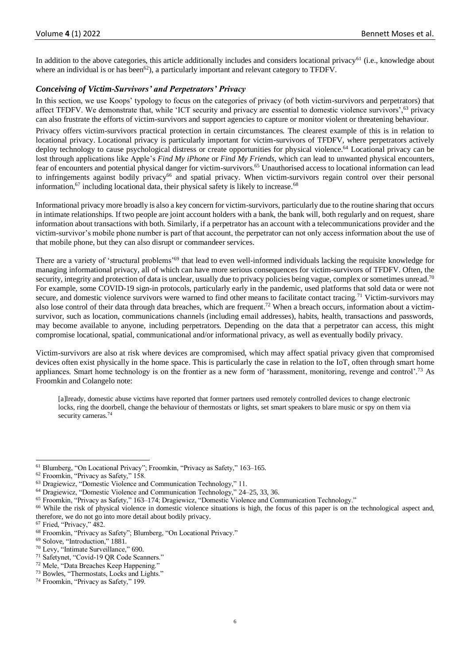In addition to the above categories, this article additionally includes and considers locational privacy<sup>61</sup> (i.e., knowledge about where an individual is or has been<sup>62</sup>), a particularly important and relevant category to TFDFV.

# *Conceiving of Victim-Survivors' and Perpetrators' Privacy*

In this section, we use Koops' typology to focus on the categories of privacy (of both victim-survivors and perpetrators) that affect TFDFV. We demonstrate that, while 'ICT security and privacy are essential to domestic violence survivors',<sup>63</sup> privacy can also frustrate the efforts of victim-survivors and support agencies to capture or monitor violent or threatening behaviour.

Privacy offers victim-survivors practical protection in certain circumstances. The clearest example of this is in relation to locational privacy. Locational privacy is particularly important for victim-survivors of TFDFV, where perpetrators actively deploy technology to cause psychological distress or create opportunities for physical violence.<sup>64</sup> Locational privacy can be lost through applications like Apple's *Find My iPhone* or *Find My Friends*, which can lead to unwanted physical encounters, fear of encounters and potential physical danger for victim-survivors.<sup>65</sup> Unauthorised access to locational information can lead to infringements against bodily privacy<sup>66</sup> and spatial privacy. When victim-survivors regain control over their personal information, $67$  including locational data, their physical safety is likely to increase.  $68$ 

Informational privacy more broadly is also a key concern for victim-survivors, particularly due to the routine sharing that occurs in intimate relationships. If two people are joint account holders with a bank, the bank will, both regularly and on request, share information about transactions with both. Similarly, if a perpetrator has an account with a telecommunications provider and the victim-survivor's mobile phone number is part of that account, the perpetrator can not only access information about the use of that mobile phone, but they can also disrupt or commandeer services.

There are a variety of 'structural problems'<sup>69</sup> that lead to even well-informed individuals lacking the requisite knowledge for managing informational privacy, all of which can have more serious consequences for victim-survivors of TFDFV. Often, the security, integrity and protection of data is unclear, usually due to privacy policies being vague, complex or sometimes unread.<sup>70</sup> For example, some COVID-19 sign-in protocols, particularly early in the pandemic, used platforms that sold data or were not secure, and domestic violence survivors were warned to find other means to facilitate contact tracing.<sup>71</sup> Victim-survivors may also lose control of their data through data breaches, which are frequent.<sup>72</sup> When a breach occurs, information about a victimsurvivor, such as location, communications channels (including email addresses), habits, health, transactions and passwords, may become available to anyone, including perpetrators. Depending on the data that a perpetrator can access, this might compromise locational, spatial, communicational and/or informational privacy, as well as eventually bodily privacy.

Victim-survivors are also at risk where devices are compromised, which may affect spatial privacy given that compromised devices often exist physically in the home space. This is particularly the case in relation to the IoT, often through smart home appliances. Smart home technology is on the frontier as a new form of 'harassment, monitoring, revenge and control'.<sup>73</sup> As Froomkin and Colangelo note:

[a]lready, domestic abuse victims have reported that former partners used remotely controlled devices to change electronic locks, ring the doorbell, change the behaviour of thermostats or lights, set smart speakers to blare music or spy on them via security cameras.<sup>74</sup>

<sup>61</sup> Blumberg, "On Locational Privacy"; Froomkin, "Privacy as Safety," 163–165.

<sup>62</sup> Froomkin, "Privacy as Safety," 158.

<sup>63</sup> Dragiewicz, "Domestic Violence and Communication Technology," 11.

<sup>64</sup> Dragiewicz, "Domestic Violence and Communication Technology," 24–25, 33, 36.

<sup>65</sup> Froomkin, "Privacy as Safety," 163–174; Dragiewicz, "Domestic Violence and Communication Technology."

<sup>&</sup>lt;sup>66</sup> While the risk of physical violence in domestic violence situations is high, the focus of this paper is on the technological aspect and, therefore, we do not go into more detail about bodily privacy.

<sup>67</sup> Fried, "Privacy," 482.

<sup>68</sup> Froomkin, "Privacy as Safety"; Blumberg, "On Locational Privacy."

<sup>69</sup> Solove, "Introduction," 1881.

<sup>70</sup> Levy, "Intimate Surveillance," 690.

<sup>71</sup> Safetynet, "Covid-19 QR Code Scanners."

<sup>72</sup> Mele, "Data Breaches Keep Happening."

<sup>&</sup>lt;sup>73</sup> Bowles, "Thermostats, Locks and Lights."

<sup>74</sup> Froomkin, "Privacy as Safety," 199.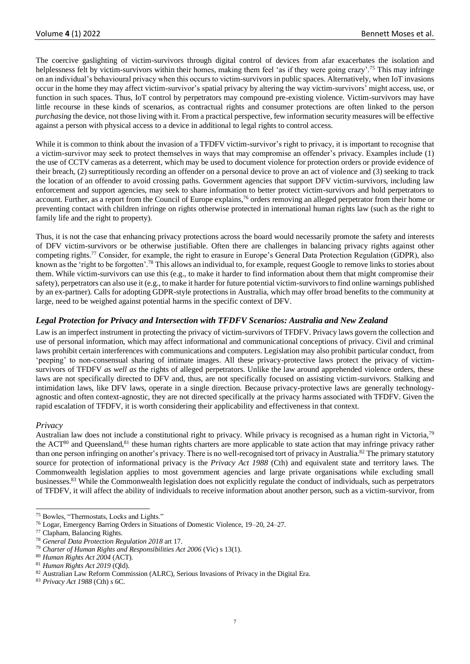The coercive gaslighting of victim-survivors through digital control of devices from afar exacerbates the isolation and helplessness felt by victim-survivors within their homes, making them feel 'as if they were going crazy'.<sup>75</sup> This may infringe on an individual's behavioural privacy when this occurs to victim-survivors in public spaces. Alternatively, when IoT invasions occur in the home they may affect victim-survivor's spatial privacy by altering the way victim-survivors' might access, use, or function in such spaces. Thus, IoT control by perpetrators may compound pre-existing violence. Victim-survivors may have little recourse in these kinds of scenarios, as contractual rights and consumer protections are often linked to the person *purchasing* the device, not those living with it. From a practical perspective, few information security measures will be effective against a person with physical access to a device in additional to legal rights to control access.

While it is common to think about the invasion of a TFDFV victim-survivor's right to privacy, it is important to recognise that a victim-survivor may seek to protect themselves in ways that may compromise an offender's privacy. Examples include (1) the use of CCTV cameras as a deterrent, which may be used to document violence for protection orders or provide evidence of their breach, (2) surreptitiously recording an offender on a personal device to prove an act of violence and (3) seeking to track the location of an offender to avoid crossing paths. Government agencies that support DFV victim-survivors, including law enforcement and support agencies, may seek to share information to better protect victim-survivors and hold perpetrators to account. Further, as a report from the Council of Europe explains,<sup>76</sup> orders removing an alleged perpetrator from their home or preventing contact with children infringe on rights otherwise protected in international human rights law (such as the right to family life and the right to property).

Thus, it is not the case that enhancing privacy protections across the board would necessarily promote the safety and interests of DFV victim-survivors or be otherwise justifiable. Often there are challenges in balancing privacy rights against other competing rights.<sup>77</sup> Consider, for example, the right to erasure in Europe's General Data Protection Regulation (GDPR), also known as the 'right to be forgotten'.<sup>78</sup> This allows an individual to, for example, request Google to remove links to stories about them. While victim-survivors can use this (e.g., to make it harder to find information about them that might compromise their safety), perpetrators can also use it (e.g., to make it harder for future potential victim-survivors to find online warnings published by an ex-partner). Calls for adopting GDPR-style protections in Australia, which may offer broad benefits to the community at large, need to be weighed against potential harms in the specific context of DFV.

# *Legal Protection for Privacy and Intersection with TFDFV Scenarios: Australia and New Zealand*

Law is an imperfect instrument in protecting the privacy of victim-survivors of TFDFV. Privacy laws govern the collection and use of personal information, which may affect informational and communicational conceptions of privacy. Civil and criminal laws prohibit certain interferences with communications and computers. Legislation may also prohibit particular conduct, from 'peeping' to non-consensual sharing of intimate images. All these privacy-protective laws protect the privacy of victimsurvivors of TFDFV *as well as* the rights of alleged perpetrators. Unlike the law around apprehended violence orders, these laws are not specifically directed to DFV and, thus, are not specifically focused on assisting victim-survivors. Stalking and intimidation laws, like DFV laws, operate in a single direction. Because privacy-protective laws are generally technologyagnostic and often context-agnostic, they are not directed specifically at the privacy harms associated with TFDFV. Given the rapid escalation of TFDFV, it is worth considering their applicability and effectiveness in that context.

# *Privacy*

Australian law does not include a constitutional right to privacy. While privacy is recognised as a human right in Victoria,<sup>79</sup> the ACT<sup>80</sup> and Queensland,<sup>81</sup> these human rights charters are more applicable to state action that may infringe privacy rather than one person infringing on another's privacy. There is no well-recognised tort of privacy in Australia.<sup>82</sup> The primary statutory source for protection of informational privacy is the *Privacy Act 1988* (Cth) and equivalent state and territory laws. The Commonwealth legislation applies to most government agencies and large private organisations while excluding small businesses.<sup>83</sup> While the Commonwealth legislation does not explicitly regulate the conduct of individuals, such as perpetrators of TFDFV, it will affect the ability of individuals to receive information about another person, such as a victim-survivor, from

<sup>75</sup> Bowles, "Thermostats, Locks and Lights."

<sup>76</sup> Logar, Emergency Barring Orders in Situations of Domestic Violence, 19–20, 24–27.

<sup>77</sup> Clapham, Balancing Rights.

<sup>78</sup> *General Data Protection Regulation 2018* art 17.

<sup>79</sup> *Charter of Human Rights and Responsibilities Act 2006* (Vic) s 13(1).

<sup>80</sup> *Human Rights Act 2004* (ACT).

<sup>81</sup> *Human Rights Act 2019* (Qld).

<sup>82</sup> Australian Law Reform Commission (ALRC), Serious Invasions of Privacy in the Digital Era.

<sup>83</sup> *Privacy Act 1988* (Cth) s 6C.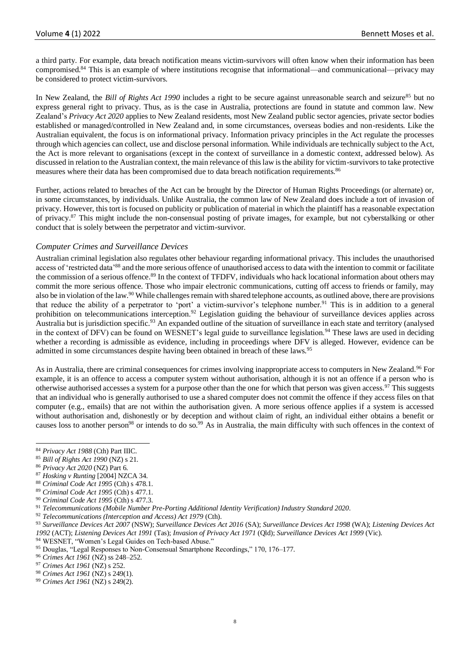a third party. For example, data breach notification means victim-survivors will often know when their information has been compromised.<sup>84</sup> This is an example of where institutions recognise that informational—and communicational—privacy may be considered to protect victim-survivors.

In New Zealand, the *Bill of Rights Act 1990* includes a right to be secure against unreasonable search and seizure<sup>85</sup> but no express general right to privacy. Thus, as is the case in Australia, protections are found in statute and common law. New Zealand's *Privacy Act 2020* applies to New Zealand residents, most New Zealand public sector agencies, private sector bodies established or managed/controlled in New Zealand and, in some circumstances, overseas bodies and non-residents. Like the Australian equivalent, the focus is on informational privacy. Information privacy principles in the Act regulate the processes through which agencies can collect, use and disclose personal information. While individuals are technically subject to the Act, the Act is more relevant to organisations (except in the context of surveillance in a domestic context, addressed below). As discussed in relation to the Australian context, the main relevance of this law is the ability for victim-survivors to take protective measures where their data has been compromised due to data breach notification requirements.<sup>86</sup>

Further, actions related to breaches of the Act can be brought by the Director of Human Rights Proceedings (or alternate) or, in some circumstances, by individuals. Unlike Australia, the common law of New Zealand does include a tort of invasion of privacy. However, this tort is focused on publicity or publication of material in which the plaintiff has a reasonable expectation of privacy.<sup>87</sup> This might include the non-consensual posting of private images, for example, but not cyberstalking or other conduct that is solely between the perpetrator and victim-survivor.

# *Computer Crimes and Surveillance Devices*

Australian criminal legislation also regulates other behaviour regarding informational privacy. This includes the unauthorised access of 'restricted data'<sup>88</sup> and the more serious offence of unauthorised access to data with the intention to commit or facilitate the commission of a serious offence.<sup>89</sup> In the context of TFDFV, individuals who hack locational information about others may commit the more serious offence. Those who impair electronic communications, cutting off access to friends or family, may also be in violation of the law.<sup>90</sup> While challenges remain with shared telephone accounts, as outlined above, there are provisions that reduce the ability of a perpetrator to 'port' a victim-survivor's telephone number.<sup>91</sup> This is in addition to a general prohibition on telecommunications interception.<sup>92</sup> Legislation guiding the behaviour of surveillance devices applies across Australia but is jurisdiction specific.<sup>93</sup> An expanded outline of the situation of surveillance in each state and territory (analysed in the context of DFV) can be found on WESNET's legal guide to surveillance legislation.<sup>94</sup> These laws are used in deciding whether a recording is admissible as evidence, including in proceedings where DFV is alleged. However, evidence can be admitted in some circumstances despite having been obtained in breach of these laws.<sup>95</sup>

As in Australia, there are criminal consequences for crimes involving inappropriate access to computers in New Zealand.<sup>96</sup> For example, it is an offence to access a computer system without authorisation, although it is not an offence if a person who is otherwise authorised accesses a system for a purpose other than the one for which that person was given access. $97$  This suggests that an individual who is generally authorised to use a shared computer does not commit the offence if they access files on that computer (e.g., emails) that are not within the authorisation given. A more serious offence applies if a system is accessed without authorisation and, dishonestly or by deception and without claim of right, an individual either obtains a benefit or causes loss to another person<sup>98</sup> or intends to do so.<sup>99</sup> As in Australia, the main difficulty with such offences in the context of

<sup>84</sup> *Privacy Act 1988* (Cth) Part IIIC.

<sup>85</sup> *Bill of Rights Act 1990* (NZ) s 21.

<sup>86</sup> *Privacy Act 2020* (NZ) Part 6.

<sup>87</sup> *Hosking v Runting* [2004] NZCA 34.

<sup>88</sup> *Criminal Code Act 1995* (Cth) s 478.1.

<sup>89</sup> *Criminal Code Act 1995* (Cth) s 477.1.

<sup>90</sup> *Criminal Code Act 1995* (Cth) s 477.3.

<sup>91</sup> *Telecommunications (Mobile Number Pre-Porting Additional Identity Verification) Industry Standard 2020*.

<sup>92</sup> *Telecommunications (Interception and Access) Act 1979* (Cth).

<sup>93</sup> *Surveillance Devices Act 2007* (NSW); *Surveillance Devices Act 2016* (SA); *Surveillance Devices Act 1998* (WA); *Listening Devices Act 1992* (ACT); *Listening Devices Act 1991* (Tas); *Invasion of Privacy Act 1971* (Qld); *Surveillance Devices Act 1999* (Vic). <sup>94</sup> WESNET, "Women's Legal Guides on Tech-based Abuse."

<sup>95</sup> Douglas, "Legal Responses to Non-Consensual Smartphone Recordings," 170, 176–177.

<sup>96</sup> *Crimes Act 1961* (NZ) ss 248–252.

<sup>97</sup> *Crimes Act 1961* (NZ) s 252.

<sup>98</sup> *Crimes Act 1961* (NZ) s 249(1).

<sup>99</sup> *Crimes Act 1961* (NZ) s 249(2).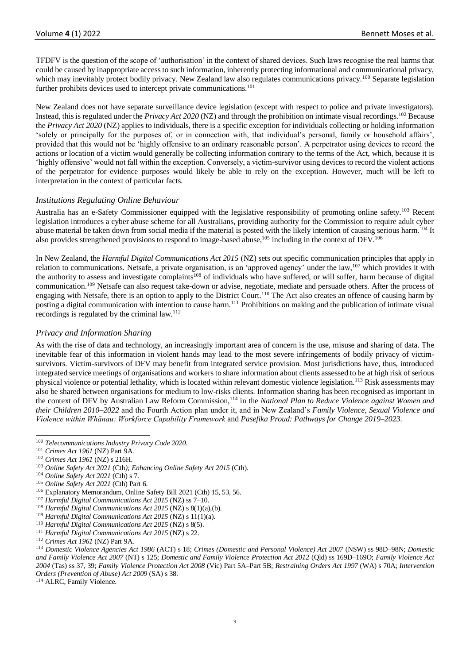TFDFV is the question of the scope of 'authorisation' in the context of shared devices. Such laws recognise the real harms that could be caused by inappropriate access to such information, inherently protecting informational and communicational privacy, which may inevitably protect bodily privacy. New Zealand law also regulates communications privacy.<sup>100</sup> Separate legislation further prohibits devices used to intercept private communications.<sup>101</sup>

New Zealand does not have separate surveillance device legislation (except with respect to police and private investigators). Instead, this is regulated under the *Privacy Act 2020* (NZ) and through the prohibition on intimate visual recordings.<sup>102</sup> Because the *Privacy Act 2020* (NZ) applies to individuals, there is a specific exception for individuals collecting or holding information 'solely or principally for the purposes of, or in connection with, that individual's personal, family or household affairs', provided that this would not be 'highly offensive to an ordinary reasonable person'. A perpetrator using devices to record the actions or location of a victim would generally be collecting information contrary to the terms of the Act, which, because it is 'highly offensive' would not fall within the exception. Conversely, a victim-survivor using devices to record the violent actions of the perpetrator for evidence purposes would likely be able to rely on the exception. However, much will be left to interpretation in the context of particular facts.

# *Institutions Regulating Online Behaviour*

Australia has an e-Safety Commissioner equipped with the legislative responsibility of promoting online safety.<sup>103</sup> Recent legislation introduces a cyber abuse scheme for all Australians, providing authority for the Commission to require adult cyber abuse material be taken down from social media if the material is posted with the likely intention of causing serious harm.<sup>104</sup> It also provides strengthened provisions to respond to image-based abuse,<sup>105</sup> including in the context of DFV.<sup>106</sup>

In New Zealand, the *Harmful Digital Communications Act 2015* (NZ) sets out specific communication principles that apply in relation to communications. Netsafe, a private organisation, is an 'approved agency' under the law,<sup>107</sup> which provides it with the authority to assess and investigate complaints<sup>108</sup> of individuals who have suffered, or will suffer, harm because of digital communication.<sup>109</sup> Netsafe can also request take-down or advise, negotiate, mediate and persuade others. After the process of engaging with Netsafe, there is an option to apply to the District Court.<sup>110</sup> The Act also creates an offence of causing harm by posting a digital communication with intention to cause harm.<sup>111</sup> Prohibitions on making and the publication of intimate visual recordings is regulated by the criminal law.<sup>112</sup>

# *Privacy and Information Sharing*

As with the rise of data and technology, an increasingly important area of concern is the use, misuse and sharing of data. The inevitable fear of this information in violent hands may lead to the most severe infringements of bodily privacy of victimsurvivors. Victim-survivors of DFV may benefit from integrated service provision. Most jurisdictions have, thus, introduced integrated service meetings of organisations and workers to share information about clients assessed to be at high risk of serious physical violence or potential lethality, which is located within relevant domestic violence legislation.<sup>113</sup> Risk assessments may also be shared between organisations for medium to low-risks clients. Information sharing has been recognised as important in the context of DFV by Australian Law Reform Commission,<sup>114</sup> in the *National Plan to Reduce Violence against Women and their Children 2010–2022* and the Fourth Action plan under it, and in New Zealand's *Family Violence, Sexual Violence and Violence within Whānau: Workforce Capability Framework* and *Pasefika Proud: Pathways for Change 2019–2023*.

<sup>114</sup> ALRC, Family Violence.

<sup>100</sup> *Telecommunications Industry Privacy Code 2020*.

<sup>101</sup> *Crimes Act 1961* (NZ) Part 9A.

<sup>102</sup> *Crimes Act 1961* (NZ) s 216H.

<sup>103</sup> *Online Safety Act 2021* (Cth*); Enhancing Online Safety Act 2015* (Cth).

<sup>104</sup> *Online Safety Act 2021* (Cth) s 7.

<sup>105</sup> *Online Safety Act 2021* (Cth) Part 6.

<sup>106</sup> Explanatory Memorandum, Online Safety Bill 2021 (Cth) 15, 53, 56.

<sup>107</sup> *Harmful Digital Communications Act 2015* (NZ) ss 7–10.

<sup>108</sup> *Harmful Digital Communications Act 2015* (NZ) s 8(1)(a),(b).

<sup>109</sup> *Harmful Digital Communications Act 2015* (NZ) s 11(1)(a).

<sup>110</sup> *Harmful Digital Communications Act 2015* (NZ) s 8(5).

<sup>111</sup> *Harmful Digital Communications Act 2015* (NZ) s 22.

<sup>112</sup> *Crimes Act 1961* (NZ) Part 9A.

<sup>113</sup> *Domestic Violence Agencies Act 1986* (ACT) s 18; *Crimes (Domestic and Personal Violence) Act 2007* (NSW) ss 98D–98N; *Domestic and Family Violence Act 2007* (NT) s 125; *Domestic and Family Violence Protection Act 2012* (Qld) ss 169D–169O; *Family Violence Act 2004* (Tas) ss 37, 39; *Family Violence Protection Act 2008* (Vic) Part 5A–Part 5B; *Restraining Orders Act 1997* (WA) s 70A; *Intervention Orders (Prevention of Abuse) Act 2009* (SA) s 38.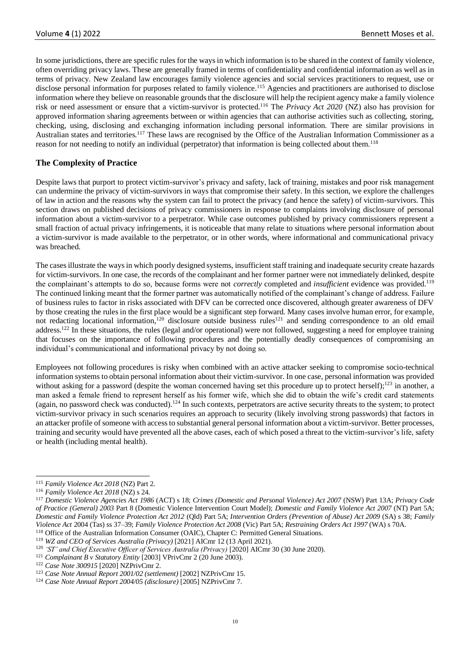In some jurisdictions, there are specific rules for the ways in which information is to be shared in the context of family violence, often overriding privacy laws. These are generally framed in terms of confidentiality and confidential information as well as in terms of privacy. New Zealand law encourages family violence agencies and social services practitioners to request, use or disclose personal information for purposes related to family violence.<sup>115</sup> Agencies and practitioners are authorised to disclose information where they believe on reasonable grounds that the disclosure will help the recipient agency make a family violence risk or need assessment or ensure that a victim-survivor is protected.<sup>116</sup> The *Privacy Act 2020* (NZ) also has provision for approved information sharing agreements between or within agencies that can authorise activities such as collecting, storing, checking, using, disclosing and exchanging information including personal information. There are similar provisions in Australian states and territories.<sup>117</sup> These laws are recognised by the Office of the Australian Information Commissioner as a reason for not needing to notify an individual (perpetrator) that information is being collected about them.<sup>118</sup>

# **The Complexity of Practice**

Despite laws that purport to protect victim-survivor's privacy and safety, lack of training, mistakes and poor risk management can undermine the privacy of victim-survivors in ways that compromise their safety. In this section, we explore the challenges of law in action and the reasons why the system can fail to protect the privacy (and hence the safety) of victim-survivors. This section draws on published decisions of privacy commissioners in response to complaints involving disclosure of personal information about a victim-survivor to a perpetrator. While case outcomes published by privacy commissioners represent a small fraction of actual privacy infringements, it is noticeable that many relate to situations where personal information about a victim-survivor is made available to the perpetrator, or in other words, where informational and communicational privacy was breached.

The cases illustrate the ways in which poorly designed systems, insufficient staff training and inadequate security create hazards for victim-survivors. In one case, the records of the complainant and her former partner were not immediately delinked, despite the complainant's attempts to do so, because forms were not *correctly* completed and *insufficient* evidence was provided.<sup>119</sup> The continued linking meant that the former partner was automatically notified of the complainant's change of address. Failure of business rules to factor in risks associated with DFV can be corrected once discovered, although greater awareness of DFV by those creating the rules in the first place would be a significant step forward. Many cases involve human error, for example, not redacting locational information,<sup>120</sup> disclosure outside business rules<sup>121</sup> and sending correspondence to an old email address.<sup>122</sup> In these situations, the rules (legal and/or operational) were not followed, suggesting a need for employee training that focuses on the importance of following procedures and the potentially deadly consequences of compromising an individual's communicational and informational privacy by not doing so.

Employees not following procedures is risky when combined with an active attacker seeking to compromise socio-technical information systems to obtain personal information about their victim-survivor. In one case, personal information was provided without asking for a password (despite the woman concerned having set this procedure up to protect herself);<sup>123</sup> in another, a man asked a female friend to represent herself as his former wife, which she did to obtain the wife's credit card statements (again, no password check was conducted).<sup>124</sup> In such contexts, perpetrators are active security threats to the system; to protect victim-survivor privacy in such scenarios requires an approach to security (likely involving strong passwords) that factors in an attacker profile of someone with access to substantial general personal information about a victim-survivor. Better processes, training and security would have prevented all the above cases, each of which posed a threat to the victim-survivor's life, safety or health (including mental health).

<sup>115</sup> *Family Violence Act 2018* (NZ) Part 2.

<sup>116</sup> *Family Violence Act 2018* (NZ) s 24.

<sup>117</sup> *Domestic Violence Agencies Act 1986* (ACT) s 18; *Crimes (Domestic and Personal Violence) Act 2007* (NSW) Part 13A; *Privacy Code of Practice (General) 2003* Part 8 (Domestic Violence Intervention Court Model); *Domestic and Family Violence Act 2007* (NT) Part 5A; *Domestic and Family Violence Protection Act 2012* (Qld) Part 5A; *Intervention Orders (Prevention of Abuse) Act 2009* (SA) s 38; *Family Violence Act* 2004 (Tas) ss 37–39; *Family Violence Protection Act 2008* (Vic) Part 5A; *Restraining Orders Act 1997* (WA) s 70A. <sup>118</sup> Office of the Australian Information Consumer (OAIC), Chapter C: Permitted General Situations.

<sup>119</sup> *WZ and CEO of Services Australia (Privacy)* [2021] AICmr 12 (13 April 2021).

<sup>&</sup>lt;sup>120</sup> 'ST' and Chief Executive Officer of Services Australia (Privacy) [2020] AICmr 30 (30 June 2020).

<sup>121</sup> *Complainant B v Statutory Entity* [2003] VPrivCmr 2 (20 June 2003).

<sup>122</sup> *Case Note 300915* [2020] NZPrivCmr 2.

<sup>123</sup> *Case Note Annual Report 2001/02 (settlement)* [2002] NZPrivCmr 15.

<sup>124</sup> *Case Note Annual Report 2004/05 (disclosure)* [2005] NZPrivCmr 7.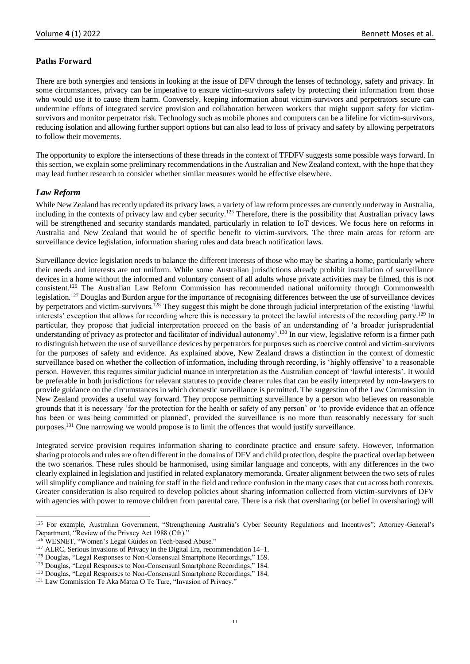# **Paths Forward**

There are both synergies and tensions in looking at the issue of DFV through the lenses of technology, safety and privacy. In some circumstances, privacy can be imperative to ensure victim-survivors safety by protecting their information from those who would use it to cause them harm. Conversely, keeping information about victim-survivors and perpetrators secure can undermine efforts of integrated service provision and collaboration between workers that might support safety for victimsurvivors and monitor perpetrator risk. Technology such as mobile phones and computers can be a lifeline for victim-survivors, reducing isolation and allowing further support options but can also lead to loss of privacy and safety by allowing perpetrators to follow their movements.

The opportunity to explore the intersections of these threads in the context of TFDFV suggests some possible ways forward. In this section, we explain some preliminary recommendations in the Australian and New Zealand context, with the hope that they may lead further research to consider whether similar measures would be effective elsewhere.

# *Law Reform*

While New Zealand has recently updated its privacy laws, a variety of law reform processes are currently underway in Australia, including in the contexts of privacy law and cyber security.<sup>125</sup> Therefore, there is the possibility that Australian privacy laws will be strengthened and security standards mandated, particularly in relation to IoT devices. We focus here on reforms in Australia and New Zealand that would be of specific benefit to victim-survivors. The three main areas for reform are surveillance device legislation, information sharing rules and data breach notification laws.

Surveillance device legislation needs to balance the different interests of those who may be sharing a home, particularly where their needs and interests are not uniform. While some Australian jurisdictions already prohibit installation of surveillance devices in a home without the informed and voluntary consent of all adults whose private activities may be filmed, this is not consistent.<sup>126</sup> The Australian Law Reform Commission has recommended national uniformity through Commonwealth legislation.<sup>127</sup> Douglas and Burdon argue for the importance of recognising differences between the use of surveillance devices by perpetrators and victim-survivors.<sup>128</sup> They suggest this might be done through judicial interpretation of the existing 'lawful interests' exception that allows for recording where this is necessary to protect the lawful interests of the recording party.<sup>129</sup> In particular, they propose that judicial interpretation proceed on the basis of an understanding of 'a broader jurisprudential understanding of privacy as protector and facilitator of individual autonomy'.<sup>130</sup> In our view, legislative reform is a firmer path to distinguish between the use of surveillance devices by perpetrators for purposes such as coercive control and victim-survivors for the purposes of safety and evidence. As explained above, New Zealand draws a distinction in the context of domestic surveillance based on whether the collection of information, including through recording, is 'highly offensive' to a reasonable person. However, this requires similar judicial nuance in interpretation as the Australian concept of 'lawful interests'. It would be preferable in both jurisdictions for relevant statutes to provide clearer rules that can be easily interpreted by non-lawyers to provide guidance on the circumstances in which domestic surveillance is permitted. The suggestion of the Law Commission in New Zealand provides a useful way forward. They propose permitting surveillance by a person who believes on reasonable grounds that it is necessary 'for the protection for the health or safety of any person' or 'to provide evidence that an offence has been or was being committed or planned', provided the surveillance is no more than reasonably necessary for such purposes.<sup>131</sup> One narrowing we would propose is to limit the offences that would justify surveillance.

Integrated service provision requires information sharing to coordinate practice and ensure safety. However, information sharing protocols and rules are often different in the domains of DFV and child protection, despite the practical overlap between the two scenarios. These rules should be harmonised, using similar language and concepts, with any differences in the two clearly explained in legislation and justified in related explanatory memoranda. Greater alignment between the two sets of rules will simplify compliance and training for staff in the field and reduce confusion in the many cases that cut across both contexts. Greater consideration is also required to develop policies about sharing information collected from victim-survivors of DFV with agencies with power to remove children from parental care. There is a risk that oversharing (or belief in oversharing) will

<sup>&</sup>lt;sup>125</sup> For example, Australian Government, "Strengthening Australia's Cyber Security Regulations and Incentives"; Attorney-General's Department, "Review of the Privacy Act 1988 (Cth)."

<sup>126</sup> WESNET, "Women's Legal Guides on Tech-based Abuse."

<sup>&</sup>lt;sup>127</sup> ALRC, Serious Invasions of Privacy in the Digital Era, recommendation 14–1.

<sup>&</sup>lt;sup>128</sup> Douglas, "Legal Responses to Non-Consensual Smartphone Recordings," 159.

<sup>&</sup>lt;sup>129</sup> Douglas, "Legal Responses to Non-Consensual Smartphone Recordings," 184.

<sup>130</sup> Douglas, "Legal Responses to Non-Consensual Smartphone Recordings," 184.

<sup>&</sup>lt;sup>131</sup> Law Commission Te Aka Matua O Te Ture, "Invasion of Privacy."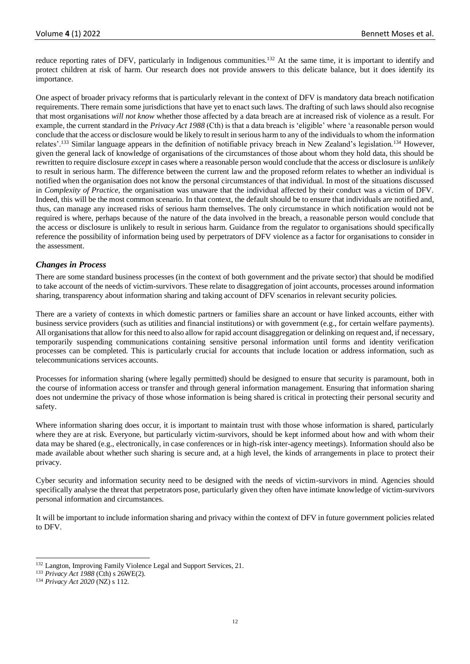reduce reporting rates of DFV, particularly in Indigenous communities.<sup>132</sup> At the same time, it is important to identify and protect children at risk of harm. Our research does not provide answers to this delicate balance, but it does identify its importance.

One aspect of broader privacy reforms that is particularly relevant in the context of DFV is mandatory data breach notification requirements. There remain some jurisdictions that have yet to enact such laws. The drafting of such laws should also recognise that most organisations *will not know* whether those affected by a data breach are at increased risk of violence as a result. For example, the current standard in the *Privacy Act 1988* (Cth) is that a data breach is 'eligible' where 'a reasonable person would conclude that the access or disclosure would be likely to result in serious harm to any of the individuals to whom the information relates'.<sup>133</sup> Similar language appears in the definition of notifiable privacy breach in New Zealand's legislation.<sup>134</sup> However, given the general lack of knowledge of organisations of the circumstances of those about whom they hold data, this should be rewritten to require disclosure *except* in cases where a reasonable person would conclude that the access or disclosure is *unlikely* to result in serious harm. The difference between the current law and the proposed reform relates to whether an individual is notified when the organisation does not know the personal circumstances of that individual. In most of the situations discussed in *Complexity of Practice,* the organisation was unaware that the individual affected by their conduct was a victim of DFV. Indeed, this will be the most common scenario. In that context, the default should be to ensure that individuals are notified and, thus, can manage any increased risks of serious harm themselves. The only circumstance in which notification would not be required is where, perhaps because of the nature of the data involved in the breach, a reasonable person would conclude that the access or disclosure is unlikely to result in serious harm. Guidance from the regulator to organisations should specifically reference the possibility of information being used by perpetrators of DFV violence as a factor for organisations to consider in the assessment.

# *Changes in Process*

There are some standard business processes (in the context of both government and the private sector) that should be modified to take account of the needs of victim-survivors. These relate to disaggregation of joint accounts, processes around information sharing, transparency about information sharing and taking account of DFV scenarios in relevant security policies.

There are a variety of contexts in which domestic partners or families share an account or have linked accounts, either with business service providers (such as utilities and financial institutions) or with government (e.g., for certain welfare payments). All organisations that allow for this need to also allow for rapid account disaggregation or delinking on request and, if necessary, temporarily suspending communications containing sensitive personal information until forms and identity verification processes can be completed. This is particularly crucial for accounts that include location or address information, such as telecommunications services accounts.

Processes for information sharing (where legally permitted) should be designed to ensure that security is paramount, both in the course of information access or transfer and through general information management. Ensuring that information sharing does not undermine the privacy of those whose information is being shared is critical in protecting their personal security and safety.

Where information sharing does occur, it is important to maintain trust with those whose information is shared, particularly where they are at risk. Everyone, but particularly victim-survivors, should be kept informed about how and with whom their data may be shared (e.g., electronically, in case conferences or in high-risk inter-agency meetings). Information should also be made available about whether such sharing is secure and, at a high level, the kinds of arrangements in place to protect their privacy.

Cyber security and information security need to be designed with the needs of victim-survivors in mind. Agencies should specifically analyse the threat that perpetrators pose, particularly given they often have intimate knowledge of victim-survivors personal information and circumstances.

It will be important to include information sharing and privacy within the context of DFV in future government policies related to DFV.

<sup>132</sup> Langton, Improving Family Violence Legal and Support Services, 21.

<sup>133</sup> *Privacy Act 1988* (Cth) s 26WE(2).

<sup>134</sup> *Privacy Act 2020* (NZ) s 112.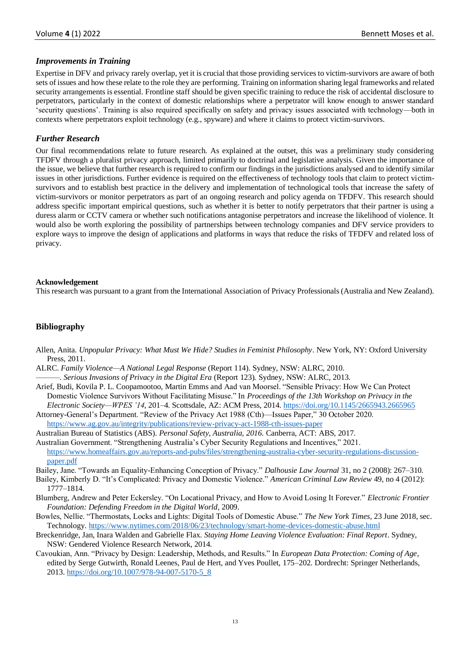# *Improvements in Training*

Expertise in DFV and privacy rarely overlap, yet it is crucial that those providing services to victim-survivors are aware of both sets of issues and how these relate to the role they are performing. Training on information sharing legal frameworks and related security arrangements is essential. Frontline staff should be given specific training to reduce the risk of accidental disclosure to perpetrators, particularly in the context of domestic relationships where a perpetrator will know enough to answer standard 'security questions'. Training is also required specifically on safety and privacy issues associated with technology—both in contexts where perpetrators exploit technology (e.g., spyware) and where it claims to protect victim-survivors.

#### *Further Research*

Our final recommendations relate to future research. As explained at the outset, this was a preliminary study considering TFDFV through a pluralist privacy approach, limited primarily to doctrinal and legislative analysis. Given the importance of the issue, we believe that further research is required to confirm our findings in the jurisdictions analysed and to identify similar issues in other jurisdictions. Further evidence is required on the effectiveness of technology tools that claim to protect victimsurvivors and to establish best practice in the delivery and implementation of technological tools that increase the safety of victim-survivors or monitor perpetrators as part of an ongoing research and policy agenda on TFDFV. This research should address specific important empirical questions, such as whether it is better to notify perpetrators that their partner is using a duress alarm or CCTV camera or whether such notifications antagonise perpetrators and increase the likelihood of violence. It would also be worth exploring the possibility of partnerships between technology companies and DFV service providers to explore ways to improve the design of applications and platforms in ways that reduce the risks of TFDFV and related loss of privacy.

#### **Acknowledgement**

This research was pursuant to a grant from the International Association of Privacy Professionals (Australia and New Zealand).

# **Bibliography**

- Allen, Anita. *Unpopular Privacy: What Must We Hide? Studies in Feminist Philosophy*. New York, NY: Oxford University Press, 2011.
- ALRC. *Family Violence—A National Legal Response* (Report 114). Sydney, NSW: ALRC, 2010.
- ———. *Serious Invasions of Privacy in the Digital Era* (Report 123)*.* Sydney, NSW: ALRC, 2013.
- Arief, Budi, Kovila P. L. Coopamootoo, Martin Emms and Aad van Moorsel. "Sensible Privacy: How We Can Protect Domestic Violence Survivors Without Facilitating Misuse." In *Proceedings of the 13th Workshop on Privacy in the Electronic Society—WPES '14*, 201–4. Scottsdale, AZ: ACM Press, 2014.<https://doi.org/10.1145/2665943.2665965>
- Attorney-General's Department. "Review of the Privacy Act 1988 (Cth)—Issues Paper," 30 October 2020. <https://www.ag.gov.au/integrity/publications/review-privacy-act-1988-cth-issues-paper>
- Australian Bureau of Statistics (ABS). *Personal Safety, Australia, 2016.* Canberra, ACT: ABS, 2017.
- Australian Government. "Strengthening Australia's Cyber Security Regulations and Incentives," 2021. [https://www.homeaffairs.gov.au/reports-and-pubs/files/strengthening-australia-cyber-security-regulations-discussion](https://www.homeaffairs.gov.au/reports-and-pubs/files/strengthening-australia-cyber-security-regulations-discussion-paper.pdf)[paper.pdf](https://www.homeaffairs.gov.au/reports-and-pubs/files/strengthening-australia-cyber-security-regulations-discussion-paper.pdf)
- Bailey, Jane. "Towards an Equality-Enhancing Conception of Privacy." *Dalhousie Law Journal* 31, no 2 (2008): 267–310.
- Bailey, Kimberly D. "It's Complicated: Privacy and Domestic Violence." *American Criminal Law Review* 49, no 4 (2012): 1777–1814.
- Blumberg, Andrew and Peter Eckersley. "On Locational Privacy, and How to Avoid Losing It Forever." *Electronic Frontier Foundation: Defending Freedom in the Digital World*, 2009.
- Bowles, Nellie. "Thermostats, Locks and Lights: Digital Tools of Domestic Abuse." *The New York Times*, 23 June 2018, sec. Technology.<https://www.nytimes.com/2018/06/23/technology/smart-home-devices-domestic-abuse.html>
- Breckenridge, Jan, Inara Walden and Gabrielle Flax. *Staying Home Leaving Violence Evaluation: Final Report*. Sydney, NSW: Gendered Violence Research Network, 2014.
- Cavoukian, Ann. "Privacy by Design: Leadership, Methods, and Results." In *European Data Protection: Coming of Age*, edited by Serge Gutwirth, Ronald Leenes, Paul de Hert, and Yves Poullet, 175–202. Dordrecht: Springer Netherlands, 2013[. https://doi.org/10.1007/978-94-007-5170-5\\_8](https://doi.org/10.1007/978-94-007-5170-5_8)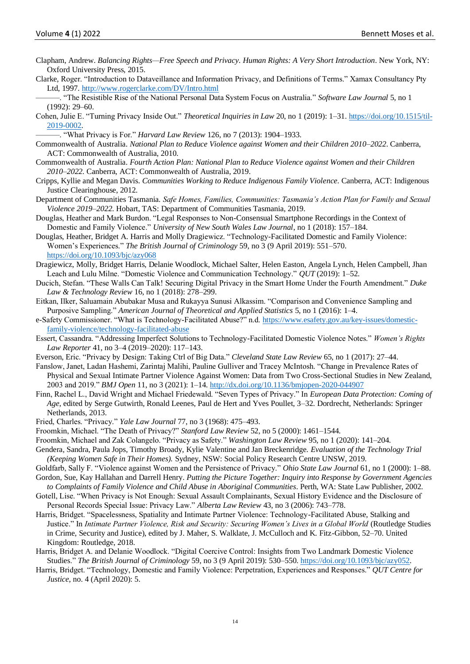- Clapham, Andrew. *Balancing Rights—Free Speech and Privacy*. *Human Rights: A Very Short Introduction*. New York, NY: Oxford University Press, 2015.
- Clarke, Roger. "Introduction to Dataveillance and Information Privacy, and Definitions of Terms." Xamax Consultancy Pty Ltd, 1997.<http://www.rogerclarke.com/DV/Intro.html>
- ———. "The Resistible Rise of the National Personal Data System Focus on Australia." *Software Law Journal* 5, no 1 (1992): 29–60.
- Cohen, Julie E. "Turning Privacy Inside Out." *Theoretical Inquiries in Law* 20, no 1 (2019): 1–31[. https://doi.org/10.1515/til-](https://doi.org/10.1515/til-2019-0002)[2019-0002.](https://doi.org/10.1515/til-2019-0002)
- ———. "What Privacy is For." *Harvard Law Review* 126, no 7 (2013): 1904–1933.
- Commonwealth of Australia. *National Plan to Reduce Violence against Women and their Children 2010–2022*. Canberra, ACT: Commonwealth of Australia, 2010.
- Commonwealth of Australia. *Fourth Action Plan: National Plan to Reduce Violence against Women and their Children 2010–2022.* Canberra, ACT: Commonwealth of Australia, 2019.
- Cripps, Kyllie and Megan Davis. *Communities Working to Reduce Indigenous Family Violence.* Canberra, ACT: Indigenous Justice Clearinghouse, 2012.
- Department of Communities Tasmania. *Safe Homes, Families, Communities: Tasmania's Action Plan for Family and Sexual Violence 2019–2022*. Hobart, TAS: Department of Communities Tasmania, 2019.
- Douglas, Heather and Mark Burdon. "Legal Responses to Non-Consensual Smartphone Recordings in the Context of Domestic and Family Violence." *University of New South Wales Law Journal*, no 1 (2018): 157–184.
- Douglas, Heather, Bridget A. Harris and Molly Dragiewicz. "Technology-Facilitated Domestic and Family Violence: Women's Experiences." *The British Journal of Criminology* 59, no 3 (9 April 2019): 551–570. <https://doi.org/10.1093/bjc/azy068>
- Dragiewicz, Molly, Bridget Harris, Delanie Woodlock, Michael Salter, Helen Easton, Angela Lynch, Helen Campbell, Jhan Leach and Lulu Milne. "Domestic Violence and Communication Technology." *QUT* (2019): 1–52.
- Ducich, Stefan. "These Walls Can Talk! Securing Digital Privacy in the Smart Home Under the Fourth Amendment." *Duke Law & Technology Review* 16, no 1 (2018): 278–299.
- Eitkan, Ilker, Saluamain Abubakar Musa and Rukayya Sunusi Alkassim. "Comparison and Convenience Sampling and Purposive Sampling." *American Journal of Theoretical and Applied Statistics* 5, no 1 (2016): 1–4.
- e-Safety Commissioner. "What is Technology-Facilitated Abuse?" n.d. [https://www.esafety.gov.au/key-issues/domestic](https://www.esafety.gov.au/key-issues/domestic-family-violence/technology-facilitated-abuse)[family-violence/technology-facilitated-abuse](https://www.esafety.gov.au/key-issues/domestic-family-violence/technology-facilitated-abuse)
- Essert, Cassandra. "Addressing Imperfect Solutions to Technology-Facilitated Domestic Violence Notes." *Women's Rights Law Reporter* 41, no 3–4 (2019–2020): 117–143.
- Everson, Eric. "Privacy by Design: Taking Ctrl of Big Data." *Cleveland State Law Review* 65, no 1 (2017): 27–44.
- Fanslow, Janet, Ladan Hashemi, Zarintaj Malihi, Pauline Gulliver and Tracey McIntosh. "Change in Prevalence Rates of Physical and Sexual Intimate Partner Violence Against Women: Data from Two Cross-Sectional Studies in New Zealand, 2003 and 2019." *BMJ Open* 11, no 3 (2021): 1–14. <http://dx.doi.org/10.1136/bmjopen-2020-044907>
- Finn, Rachel L., David Wright and Michael Friedewald. "Seven Types of Privacy." In *European Data Protection: Coming of Age*, edited by Serge Gutwirth, Ronald Leenes, Paul de Hert and Yves Poullet, 3–32. Dordrecht, Netherlands: Springer Netherlands, 2013.
- Fried, Charles. "Privacy." *Yale Law Journal* 77, no 3 (1968): 475–493.
- Froomkin, Michael. "The Death of Privacy?" *Stanford Law Review* 52, no 5 (2000): 1461–1544.
- Froomkin, Michael and Zak Colangelo. "Privacy as Safety." *Washington Law Review* 95, no 1 (2020): 141–204.
- Gendera, Sandra, Paula Jops, Timothy Broady, Kylie Valentine and Jan Breckenridge. *Evaluation of the Technology Trial (Keeping Women Safe in Their Homes).* Sydney, NSW: Social Policy Research Centre UNSW, 2019.
- Goldfarb, Sally F. "Violence against Women and the Persistence of Privacy." *Ohio State Law Journal* 61, no 1 (2000): 1–88. Gordon, Sue, Kay Hallahan and Darrell Henry. *Putting the Picture Together: Inquiry into Response by Government Agencies*
- *to Complaints of Family Violence and Child Abuse in Aboriginal Communities*. Perth, WA: State Law Publisher, 2002. Gotell, Lise. "When Privacy is Not Enough: Sexual Assault Complainants, Sexual History Evidence and the Disclosure of
- Personal Records Special Issue: Privacy Law." *Alberta Law Review* 43, no 3 (2006): 743–778.
- Harris, Bridget. "Spacelessness, Spatiality and Intimate Partner Violence: Technology-Facilitated Abuse, Stalking and Justice." In *Intimate Partner Violence, Risk and Security: Securing Women's Lives in a Global World* (Routledge Studies in Crime, Security and Justice), edited by J. Maher, S. Walklate, J. McCulloch and K. Fitz-Gibbon, 52–70. United Kingdom: Routledge, 2018.
- Harris, Bridget A. and Delanie Woodlock. "Digital Coercive Control: Insights from Two Landmark Domestic Violence Studies." *The British Journal of Criminology* 59, no 3 (9 April 2019): 530–550[. https://doi.org/10.1093/bjc/azy052.](https://doi.org/10.1093/bjc/azy052)
- Harris, Bridget. "Technology, Domestic and Family Violence: Perpetration, Experiences and Responses." *QUT Centre for Justice*, no. 4 (April 2020): 5.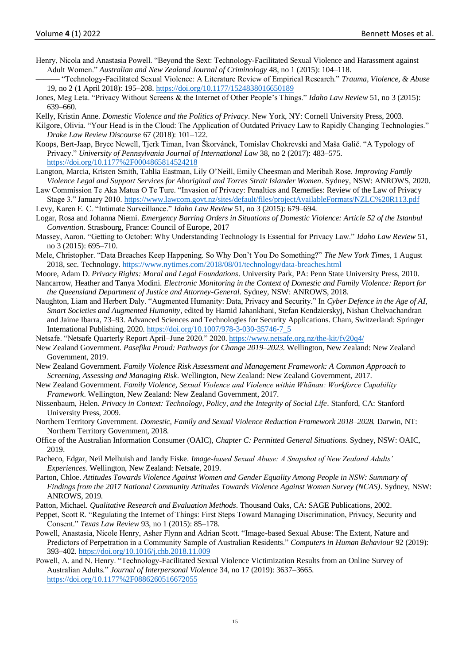- Henry, Nicola and Anastasia Powell. "Beyond the Sext: Technology-Facilitated Sexual Violence and Harassment against Adult Women." *Australian and New Zealand Journal of Criminology* 48, no 1 (2015): 104–118.
	- ——— "Technology-Facilitated Sexual Violence: A Literature Review of Empirical Research." *Trauma, Violence, & Abuse* 19, no 2 (1 April 2018): 195–208[. https://doi.org/10.1177/1524838016650189](https://doi.org/10.1177/1524838016650189)
- Jones, Meg Leta. "Privacy Without Screens & the Internet of Other People's Things." *Idaho Law Review* 51, no 3 (2015): 639–660.
- Kelly, Kristin Anne. *Domestic Violence and the Politics of Privacy*. New York, NY: Cornell University Press, 2003.
- Kilgore, Olivia. "Your Head is in the Cloud: The Application of Outdated Privacy Law to Rapidly Changing Technologies." *Drake Law Review Discourse* 67 (2018): 101–122.
- Koops, Bert-Jaap, Bryce Newell, Tjerk Timan, Ivan Škorvánek, Tomislav Chokrevski and Maša Galič. "A Typology of Privacy." *University of Pennsylvania Journal of International Law* 38, no 2 (2017): 483–575. <https://doi.org/10.1177%2F0004865814524218>
- Langton, Marcia, Kristen Smith, Tahlia Eastman, Lily O'Neill, Emily Cheesman and Meribah Rose. *Improving Family Violence Legal and Support Services for Aboriginal and Torres Strait Islander Women*. Sydney, NSW: ANROWS, 2020.
- Law Commission Te Aka Matua O Te Ture. "Invasion of Privacy: Penalties and Remedies: Review of the Law of Privacy Stage 3." January 2010.<https://www.lawcom.govt.nz/sites/default/files/projectAvailableFormats/NZLC%20R113.pdf>
- Levy, Karen E. C. "Intimate Surveillance." *Idaho Law Review* 51, no 3 (2015): 679–694.
- Logar, Rosa and Johanna Niemi. *Emergency Barring Orders in Situations of Domestic Violence: Article 52 of the Istanbul Convention*. Strasbourg, France: Council of Europe, 2017
- Massey, Aaron. "Getting to October: Why Understanding Technology Is Essential for Privacy Law." *Idaho Law Review* 51, no 3 (2015): 695–710.
- Mele, Christopher. "Data Breaches Keep Happening. So Why Don't You Do Something?" *The New York Times*, 1 August 2018, sec. Technology.<https://www.nytimes.com/2018/08/01/technology/data-breaches.html>
- Moore, Adam D. *Privacy Rights: Moral and Legal Foundations*. University Park, PA: Penn State University Press, 2010. Nancarrow, Heather and Tanya Modini. *Electronic Monitoring in the Context of Domestic and Family Violence: Report for the Queensland Department of Justice and Attorney-General*. Sydney, NSW: ANROWS, 2018.
- Naughton, Liam and Herbert Daly. "Augmented Humanity: Data, Privacy and Security." In *Cyber Defence in the Age of AI, Smart Societies and Augmented Humanity*, edited by Hamid Jahankhani, Stefan Kendzierskyj, Nishan Chelvachandran and Jaime Ibarra, 73–93. Advanced Sciences and Technologies for Security Applications. Cham, Switzerland: Springer International Publishing, 2020. [https://doi.org/10.1007/978-3-030-35746-7\\_5](https://doi.org/10.1007/978-3-030-35746-7_5)
- Netsafe. "Netsafe Quarterly Report April–June 2020." 2020.<https://www.netsafe.org.nz/the-kit/fy20q4/>
- New Zealand Government. *Pasefika Proud: Pathways for Change 2019–2023*. Wellington, New Zealand: New Zealand Government, 2019.
- New Zealand Government. *Family Violence Risk Assessment and Management Framework: A Common Approach to Screening, Assessing and Managing Risk*. Wellington, New Zealand: New Zealand Government, 2017.
- New Zealand Government. *Family Violence, Sexual Violence and Violence within Whānau: Workforce Capability Framework*. Wellington, New Zealand: New Zealand Government, 2017.
- Nissenbaum, Helen. *Privacy in Context: Technology, Policy, and the Integrity of Social Life*. Stanford, CA: Stanford University Press, 2009.
- Northern Territory Government. *Domestic, Family and Sexual Violence Reduction Framework 2018–2028.* Darwin, NT: Northern Territory Government, 2018.
- Office of the Australian Information Consumer (OAIC), *Chapter C: Permitted General Situations*. Sydney, NSW: OAIC, 2019.
- Pacheco, Edgar, Neil Melhuish and Jandy Fiske. *Image-based Sexual Abuse: A Snapshot of New Zealand Adults' Experiences.* Wellington, New Zealand: Netsafe, 2019.
- Parton, Chloe. *Attitudes Towards Violence Against Women and Gender Equality Among People in NSW: Summary of Findings from the 2017 National Community Attitudes Towards Violence Against Women Survey (NCAS)*. Sydney, NSW: ANROWS, 2019.
- Patton, Michael. *Qualitative Research and Evaluation Methods*. Thousand Oaks, CA: SAGE Publications, 2002.
- Peppet, Scott R. "Regulating the Internet of Things: First Steps Toward Managing Discrimination, Privacy, Security and Consent." *Texas Law Review* 93, no 1 (2015): 85–178.
- Powell, Anastasia, Nicole Henry, Asher Flynn and Adrian Scott. "Image-based Sexual Abuse: The Extent, Nature and Predictors of Perpetration in a Community Sample of Australian Residents." *Computers in Human Behaviour* 92 (2019): 393–402. <https://doi.org/10.1016/j.chb.2018.11.009>
- Powell, A. and N. Henry. "Technology-Facilitated Sexual Violence Victimization Results from an Online Survey of Australian Adults." *Journal of Interpersonal Violence* 34, no 17 (2019): 3637–3665. <https://doi.org/10.1177%2F0886260516672055>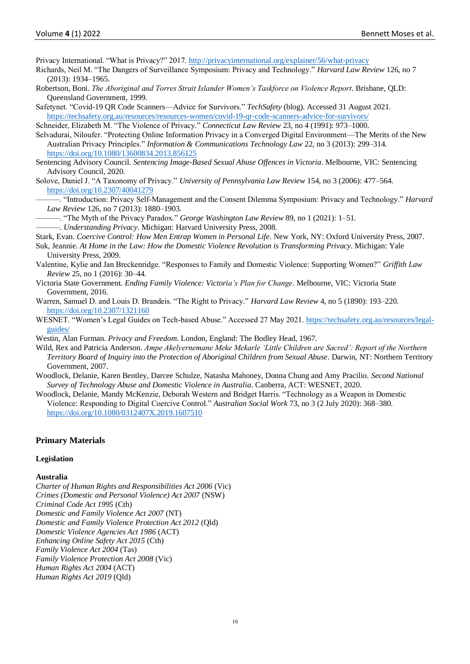Privacy International. "What is Privacy?" 2017.<http://privacyinternational.org/explainer/56/what-privacy>

- Richards, Neil M. "The Dangers of Surveillance Symposium: Privacy and Technology." *Harvard Law Review* 126, no 7 (2013): 1934–1965.
- Robertson, Boni. *The Aboriginal and Torres Strait Islander Women's Taskforce on Violence Report*. Brisbane, QLD: Queensland Government, 1999.
- Safetynet. "Covid-19 QR Code Scanners—Advice for Survivors." *TechSafety* (blog). Accessed 31 August 2021. <https://techsafety.org.au/resources/resources-women/covid-19-qr-code-scanners-advice-for-survivors/>
- Schneider, Elizabeth M. "The Violence of Privacy." *Connecticut Law Review* 23, no 4 (1991): 973–1000.
- Selvadurai, Niloufer. "Protecting Online Information Privacy in a Converged Digital Environment—The Merits of the New Australian Privacy Principles." *Information & Communications Technology Law* 22, no 3 (2013): 299–314. <https://doi.org/10.1080/13600834.2013.856125>
- Sentencing Advisory Council. *Sentencing Image-Based Sexual Abuse Offences in Victoria*. Melbourne, VIC: Sentencing Advisory Council, 2020.
- Solove, Daniel J. "A Taxonomy of Privacy." *University of Pennsylvania Law Review* 154, no 3 (2006): 477–564. <https://doi.org/10.2307/40041279>
	- ———. "Introduction: Privacy Self-Management and the Consent Dilemma Symposium: Privacy and Technology." *Harvard Law Review* 126, no 7 (2013): 1880–1903.
	- ———. "The Myth of the Privacy Paradox." *George Washington Law Review* 89, no 1 (2021): 1–51.
	- ———. *Understanding Privacy*. Michigan: Harvard University Press, 2008.
- Stark, Evan. *Coercive Control: How Men Entrap Women in Personal Life*. New York, NY: Oxford University Press, 2007.
- Suk, Jeannie. *At Home in the Law: How the Domestic Violence Revolution is Transforming Privacy*. Michigan: Yale University Press, 2009.
- Valentine, Kylie and Jan Breckenridge. "Responses to Family and Domestic Violence: Supporting Women?" *Griffith Law Review* 25, no 1 (2016): 30–44.
- Victoria State Government. *Ending Family Violence: Victoria's Plan for Change*. Melbourne, VIC: Victoria State Government, 2016.
- Warren, Samuel D. and Louis D. Brandeis. "The Right to Privacy." *Harvard Law Review* 4, no 5 (1890): 193–220. <https://doi.org/10.2307/1321160>
- WESNET. "Women's Legal Guides on Tech-based Abuse." Accessed 27 May 2021[. https://techsafety.org.au/resources/legal](https://techsafety.org.au/resources/legal-guides/)[guides/](https://techsafety.org.au/resources/legal-guides/)
- Westin, Alan Furman. *Privacy and Freedom*. London, England: The Bodley Head, 1967.
- Wild, Rex and Patricia Anderson. *Ampe Akelyernemane Meke Mekarle 'Little Children are Sacred': Report of the Northern Territory Board of Inquiry into the Protection of Aboriginal Children from Sexual Abuse*. Darwin, NT: Northern Territory Government, 2007.
- Woodlock, Delanie, Karen Bentley, Darcee Schulze, Natasha Mahoney, Donna Chung and Amy Pracilio. *Second National Survey of Technology Abuse and Domestic Violence in Australia*. Canberra, ACT: WESNET, 2020.
- Woodlock, Delanie, Mandy McKenzie, Deborah Western and Bridget Harris. "Technology as a Weapon in Domestic Violence: Responding to Digital Coercive Control." *Australian Social Work* 73, no 3 (2 July 2020): 368–380. <https://doi.org/10.1080/0312407X.2019.1607510>

#### **Primary Materials**

#### **Legislation**

#### **Australia**

*Charter of Human Rights and Responsibilities Act 2006* (Vic) *Crimes (Domestic and Personal Violence) Act 2007* (NSW) *Criminal Code Act 1995* (Cth) *Domestic and Family Violence Act 2007* (NT) *Domestic and Family Violence Protection Act 2012* (Qld) *Domestic Violence Agencies Act 1986* (ACT) *Enhancing Online Safety Act 2015* (Cth) *Family Violence Act 2004* (Tas) *Family Violence Protection Act 2008* (Vic) *Human Rights Act 2004* (ACT) *Human Rights Act 2019* (Qld)